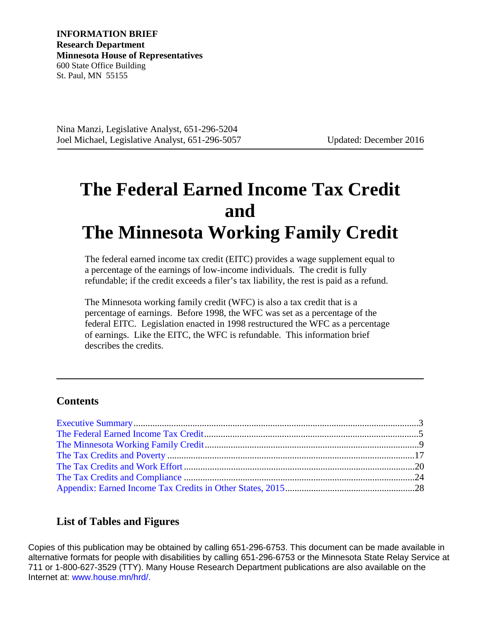Nina Manzi, Legislative Analyst, 651-296-5204 Joel Michael, Legislative Analyst, 651-296-5057 Updated: December 2016

# **The Federal Earned Income Tax Credit and The Minnesota Working Family Credit**

The federal earned income tax credit (EITC) provides a wage supplement equal to a percentage of the earnings of low-income individuals. The credit is fully refundable; if the credit exceeds a filer's tax liability, the rest is paid as a refund.

The Minnesota working family credit (WFC) is also a tax credit that is a percentage of earnings. Before 1998, the WFC was set as a percentage of the federal EITC. Legislation enacted in 1998 restructured the WFC as a percentage of earnings. Like the EITC, the WFC is refundable. This information brief describes the credits.

### **Contents**

### **List of Tables and Figures**

Copies of this publication may be obtained by calling 651-296-6753. This document can be made available in alternative formats for people with disabilities by calling 651-296-6753 or the Minnesota State Relay Service at 711 or 1-800-627-3529 (TTY). Many House Research Department publications are also available on the Internet at: www.house.mn/hrd/.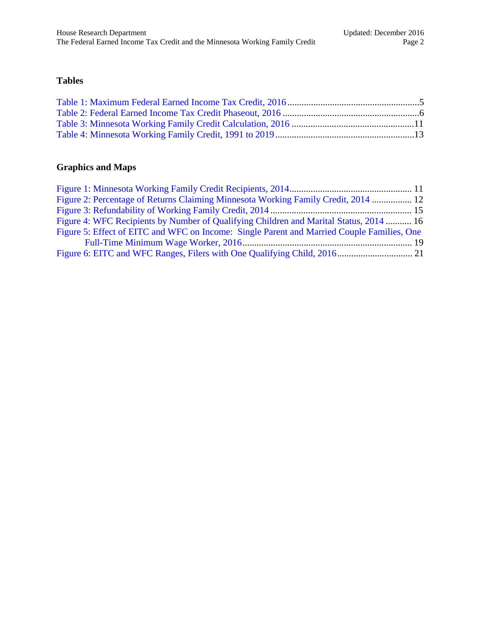### **Tables**

### **Graphics and Maps**

| Figure 2: Percentage of Returns Claiming Minnesota Working Family Credit, 2014  12         |  |
|--------------------------------------------------------------------------------------------|--|
|                                                                                            |  |
| Figure 4: WFC Recipients by Number of Qualifying Children and Marital Status, 2014  16     |  |
| Figure 5: Effect of EITC and WFC on Income: Single Parent and Married Couple Families, One |  |
|                                                                                            |  |
|                                                                                            |  |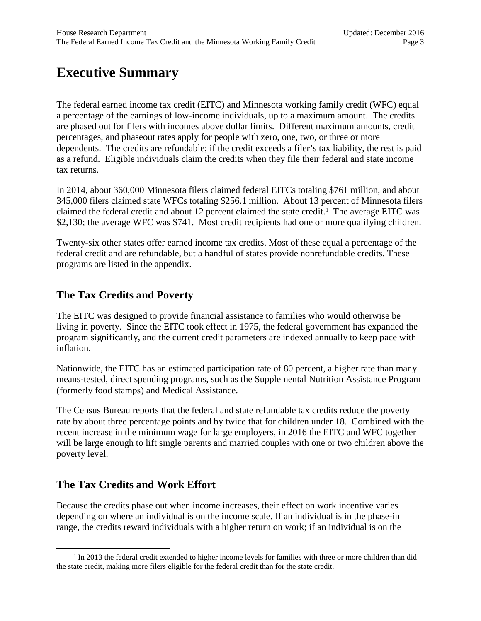# <span id="page-2-0"></span>**Executive Summary**

The federal earned income tax credit (EITC) and Minnesota working family credit (WFC) equal a percentage of the earnings of low-income individuals, up to a maximum amount. The credits are phased out for filers with incomes above dollar limits. Different maximum amounts, credit percentages, and phaseout rates apply for people with zero, one, two, or three or more dependents. The credits are refundable; if the credit exceeds a filer's tax liability, the rest is paid as a refund. Eligible individuals claim the credits when they file their federal and state income tax returns.

In 2014, about 360,000 Minnesota filers claimed federal EITCs totaling \$761 million, and about 345,000 filers claimed state WFCs totaling \$256.1 million. About 13 percent of Minnesota filers claimed the federal credit and about [1](#page-2-1)2 percent claimed the state credit.<sup>1</sup> The average EITC was \$2,130; the average WFC was \$741. Most credit recipients had one or more qualifying children.

Twenty-six other states offer earned income tax credits. Most of these equal a percentage of the federal credit and are refundable, but a handful of states provide nonrefundable credits. These programs are listed in the appendix.

### **The Tax Credits and Poverty**

The EITC was designed to provide financial assistance to families who would otherwise be living in poverty. Since the EITC took effect in 1975, the federal government has expanded the program significantly, and the current credit parameters are indexed annually to keep pace with inflation.

Nationwide, the EITC has an estimated participation rate of 80 percent, a higher rate than many means-tested, direct spending programs, such as the Supplemental Nutrition Assistance Program (formerly food stamps) and Medical Assistance.

The Census Bureau reports that the federal and state refundable tax credits reduce the poverty rate by about three percentage points and by twice that for children under 18. Combined with the recent increase in the minimum wage for large employers, in 2016 the EITC and WFC together will be large enough to lift single parents and married couples with one or two children above the poverty level.

### **The Tax Credits and Work Effort**

Because the credits phase out when income increases, their effect on work incentive varies depending on where an individual is on the income scale. If an individual is in the phase-in range, the credits reward individuals with a higher return on work; if an individual is on the

<span id="page-2-1"></span><sup>&</sup>lt;sup>1</sup> In 2013 the federal credit extended to higher income levels for families with three or more children than did the state credit, making more filers eligible for the federal credit than for the state credit.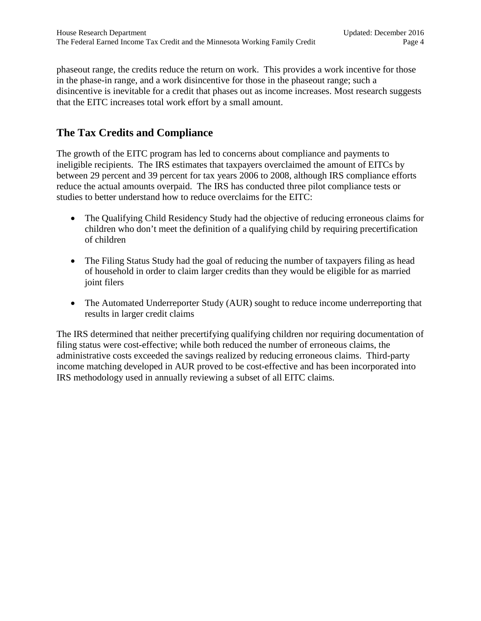phaseout range, the credits reduce the return on work. This provides a work incentive for those in the phase-in range, and a work disincentive for those in the phaseout range; such a disincentive is inevitable for a credit that phases out as income increases. Most research suggests that the EITC increases total work effort by a small amount.

### **The Tax Credits and Compliance**

The growth of the EITC program has led to concerns about compliance and payments to ineligible recipients. The IRS estimates that taxpayers overclaimed the amount of EITCs by between 29 percent and 39 percent for tax years 2006 to 2008, although IRS compliance efforts reduce the actual amounts overpaid. The IRS has conducted three pilot compliance tests or studies to better understand how to reduce overclaims for the EITC:

- The Qualifying Child Residency Study had the objective of reducing erroneous claims for children who don't meet the definition of a qualifying child by requiring precertification of children
- The Filing Status Study had the goal of reducing the number of taxpayers filing as head of household in order to claim larger credits than they would be eligible for as married joint filers
- The Automated Underreporter Study (AUR) sought to reduce income underreporting that results in larger credit claims

The IRS determined that neither precertifying qualifying children nor requiring documentation of filing status were cost-effective; while both reduced the number of erroneous claims, the administrative costs exceeded the savings realized by reducing erroneous claims. Third-party income matching developed in AUR proved to be cost-effective and has been incorporated into IRS methodology used in annually reviewing a subset of all EITC claims.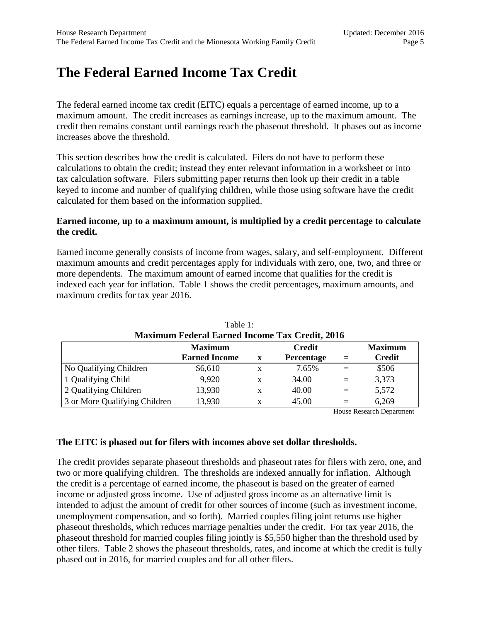# <span id="page-4-0"></span>**The Federal Earned Income Tax Credit**

The federal earned income tax credit (EITC) equals a percentage of earned income, up to a maximum amount. The credit increases as earnings increase, up to the maximum amount. The credit then remains constant until earnings reach the phaseout threshold. It phases out as income increases above the threshold.

This section describes how the credit is calculated. Filers do not have to perform these calculations to obtain the credit; instead they enter relevant information in a worksheet or into tax calculation software. Filers submitting paper returns then look up their credit in a table keyed to income and number of qualifying children, while those using software have the credit calculated for them based on the information supplied.

#### **Earned income, up to a maximum amount, is multiplied by a credit percentage to calculate the credit.**

Earned income generally consists of income from wages, salary, and self-employment. Different maximum amounts and credit percentages apply for individuals with zero, one, two, and three or more dependents. The maximum amount of earned income that qualifies for the credit is indexed each year for inflation. Table 1 shows the credit percentages, maximum amounts, and maximum credits for tax year 2016.

<span id="page-4-1"></span>

| <b>Maximum Federal Earned Income Tax Credit, 2016</b> |                      |             |               |     |                |  |
|-------------------------------------------------------|----------------------|-------------|---------------|-----|----------------|--|
|                                                       | <b>Maximum</b>       |             | <b>Credit</b> |     | <b>Maximum</b> |  |
|                                                       | <b>Earned Income</b> | $\mathbf x$ | Percentage    | $=$ | <b>Credit</b>  |  |
| No Qualifying Children                                | \$6,610              | X           | 7.65%         | $=$ | \$506          |  |
| 1 Qualifying Child                                    | 9,920                | X           | 34.00         | $=$ | 3,373          |  |
| 2 Qualifying Children                                 | 13,930               | X           | 40.00         | $=$ | 5,572          |  |
| 3 or More Qualifying Children                         | 13,930               |             | 45.00         | $=$ | 6,269          |  |

|                                               | Table 1: |  |  |
|-----------------------------------------------|----------|--|--|
| aximum Federal Earned Income Tax Credit, 2016 |          |  |  |

House Research Department

#### **The EITC is phased out for filers with incomes above set dollar thresholds.**

The credit provides separate phaseout thresholds and phaseout rates for filers with zero, one, and two or more qualifying children. The thresholds are indexed annually for inflation. Although the credit is a percentage of earned income, the phaseout is based on the greater of earned income or adjusted gross income. Use of adjusted gross income as an alternative limit is intended to adjust the amount of credit for other sources of income (such as investment income, unemployment compensation, and so forth). Married couples filing joint returns use higher phaseout thresholds, which reduces marriage penalties under the credit. For tax year 2016, the phaseout threshold for married couples filing jointly is \$5,550 higher than the threshold used by other filers. Table 2 shows the phaseout thresholds, rates, and income at which the credit is fully phased out in 2016, for married couples and for all other filers.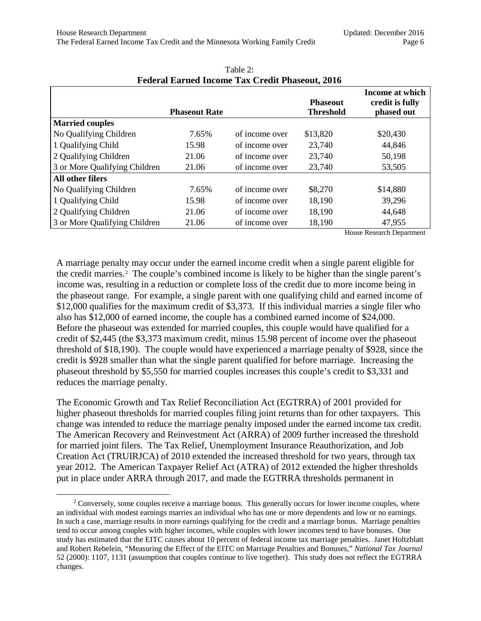<span id="page-5-0"></span>

| T cuclai Lafficu Income Tax Crean I nascoud, 2010 |                      |                |                                     |                                                  |
|---------------------------------------------------|----------------------|----------------|-------------------------------------|--------------------------------------------------|
|                                                   | <b>Phaseout Rate</b> |                | <b>Phaseout</b><br><b>Threshold</b> | Income at which<br>credit is fully<br>phased out |
| <b>Married couples</b>                            |                      |                |                                     |                                                  |
| No Qualifying Children                            | 7.65%                | of income over | \$13,820                            | \$20,430                                         |
| 1 Qualifying Child                                | 15.98                | of income over | 23,740                              | 44,846                                           |
| 2 Qualifying Children                             | 21.06                | of income over | 23,740                              | 50,198                                           |
| 3 or More Qualifying Children                     | 21.06                | of income over | 23,740                              | 53,505                                           |
| All other filers                                  |                      |                |                                     |                                                  |
| No Qualifying Children                            | 7.65%                | of income over | \$8,270                             | \$14,880                                         |
| 1 Qualifying Child                                | 15.98                | of income over | 18,190                              | 39,296                                           |
| 2 Qualifying Children                             | 21.06                | of income over | 18,190                              | 44,648                                           |
| 3 or More Qualifying Children                     | 21.06                | of income over | 18,190                              | 47,955                                           |

#### Table 2: **Federal Earned Income Tax Credit Phaseout, 2016**

House Research Department

A marriage penalty may occur under the earned income credit when a single parent eligible for the credit marries.<sup>[2](#page-5-1)</sup> The couple's combined income is likely to be higher than the single parent's income was, resulting in a reduction or complete loss of the credit due to more income being in the phaseout range. For example, a single parent with one qualifying child and earned income of \$12,000 qualifies for the maximum credit of \$3,373. If this individual marries a single filer who also has \$12,000 of earned income, the couple has a combined earned income of \$24,000. Before the phaseout was extended for married couples, this couple would have qualified for a credit of \$2,445 (the \$3,373 maximum credit, minus 15.98 percent of income over the phaseout threshold of \$18,190). The couple would have experienced a marriage penalty of \$928, since the credit is \$928 smaller than what the single parent qualified for before marriage. Increasing the phaseout threshold by \$5,550 for married couples increases this couple's credit to \$3,331 and reduces the marriage penalty.

The Economic Growth and Tax Relief Reconciliation Act (EGTRRA) of 2001 provided for higher phaseout thresholds for married couples filing joint returns than for other taxpayers. This change was intended to reduce the marriage penalty imposed under the earned income tax credit. The American Recovery and Reinvestment Act (ARRA) of 2009 further increased the threshold for married joint filers. The Tax Relief, Unemployment Insurance Reauthorization, and Job Creation Act (TRUIRJCA) of 2010 extended the increased threshold for two years, through tax year 2012. The American Taxpayer Relief Act (ATRA) of 2012 extended the higher thresholds put in place under ARRA through 2017, and made the EGTRRA thresholds permanent in

<span id="page-5-1"></span><sup>&</sup>lt;sup>2</sup> Conversely, some couples receive a marriage bonus. This generally occurs for lower income couples, where an individual with modest earnings marries an individual who has one or more dependents and low or no earnings. In such a case, marriage results in more earnings qualifying for the credit and a marriage bonus. Marriage penalties tend to occur among couples with higher incomes, while couples with lower incomes tend to have bonuses. One study has estimated that the EITC causes about 10 percent of federal income tax marriage penalties. Janet Holtzblatt and Robert Rebelein, "Measuring the Effect of the EITC on Marriage Penalties and Bonuses," *National Tax Journal* 52 (2000): 1107, 1131 (assumption that couples continue to live together). This study does not reflect the EGTRRA changes.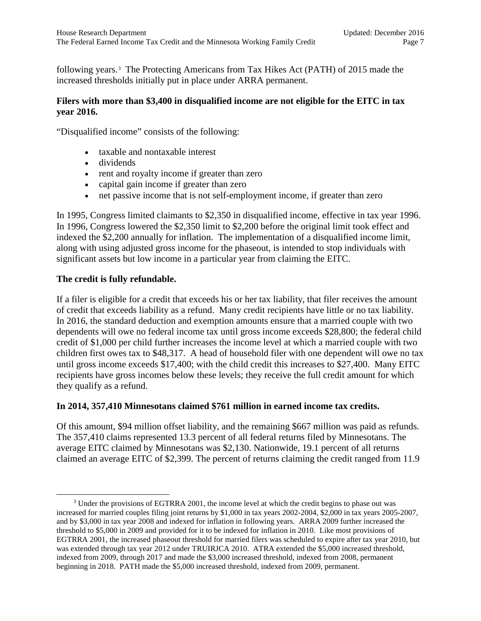following years.[3](#page-6-0) The Protecting Americans from Tax Hikes Act (PATH) of 2015 made the increased thresholds initially put in place under ARRA permanent.

#### **Filers with more than \$3,400 in disqualified income are not eligible for the EITC in tax year 2016.**

"Disqualified income" consists of the following:

- taxable and nontaxable interest
- dividends
- rent and royalty income if greater than zero
- capital gain income if greater than zero
- net passive income that is not self-employment income, if greater than zero

In 1995, Congress limited claimants to \$2,350 in disqualified income, effective in tax year 1996. In 1996, Congress lowered the \$2,350 limit to \$2,200 before the original limit took effect and indexed the \$2,200 annually for inflation. The implementation of a disqualified income limit, along with using adjusted gross income for the phaseout, is intended to stop individuals with significant assets but low income in a particular year from claiming the EITC.

#### **The credit is fully refundable.**

If a filer is eligible for a credit that exceeds his or her tax liability, that filer receives the amount of credit that exceeds liability as a refund. Many credit recipients have little or no tax liability. In 2016, the standard deduction and exemption amounts ensure that a married couple with two dependents will owe no federal income tax until gross income exceeds \$28,800; the federal child credit of \$1,000 per child further increases the income level at which a married couple with two children first owes tax to \$48,317. A head of household filer with one dependent will owe no tax until gross income exceeds \$17,400; with the child credit this increases to \$27,400. Many EITC recipients have gross incomes below these levels; they receive the full credit amount for which they qualify as a refund.

#### **In 2014, 357,410 Minnesotans claimed \$761 million in earned income tax credits.**

Of this amount, \$94 million offset liability, and the remaining \$667 million was paid as refunds. The 357,410 claims represented 13.3 percent of all federal returns filed by Minnesotans. The average EITC claimed by Minnesotans was \$2,130. Nationwide, 19.1 percent of all returns claimed an average EITC of \$2,399. The percent of returns claiming the credit ranged from 11.9

<span id="page-6-0"></span><sup>&</sup>lt;sup>3</sup> Under the provisions of EGTRRA 2001, the income level at which the credit begins to phase out was increased for married couples filing joint returns by \$1,000 in tax years 2002-2004, \$2,000 in tax years 2005-2007, and by \$3,000 in tax year 2008 and indexed for inflation in following years. ARRA 2009 further increased the threshold to \$5,000 in 2009 and provided for it to be indexed for inflation in 2010. Like most provisions of EGTRRA 2001, the increased phaseout threshold for married filers was scheduled to expire after tax year 2010, but was extended through tax year 2012 under TRUIRJCA 2010. ATRA extended the \$5,000 increased threshold, indexed from 2009, through 2017 and made the \$3,000 increased threshold, indexed from 2008, permanent beginning in 2018. PATH made the \$5,000 increased threshold, indexed from 2009, permanent.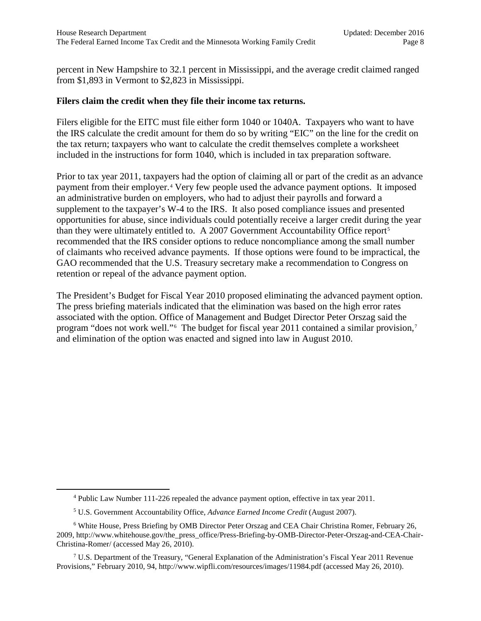percent in New Hampshire to 32.1 percent in Mississippi, and the average credit claimed ranged from \$1,893 in Vermont to \$2,823 in Mississippi.

#### **Filers claim the credit when they file their income tax returns.**

Filers eligible for the EITC must file either form 1040 or 1040A. Taxpayers who want to have the IRS calculate the credit amount for them do so by writing "EIC" on the line for the credit on the tax return; taxpayers who want to calculate the credit themselves complete a worksheet included in the instructions for form 1040, which is included in tax preparation software.

Prior to tax year 2011, taxpayers had the option of claiming all or part of the credit as an advance payment from their employer.<sup>[4](#page-7-0)</sup> Very few people used the advance payment options. It imposed an administrative burden on employers, who had to adjust their payrolls and forward a supplement to the taxpayer's W-4 to the IRS. It also posed compliance issues and presented opportunities for abuse, since individuals could potentially receive a larger credit during the year than they were ultimately entitled to. A 2007 Government Accountability Office report<sup>[5](#page-7-1)</sup> recommended that the IRS consider options to reduce noncompliance among the small number of claimants who received advance payments. If those options were found to be impractical, the GAO recommended that the U.S. Treasury secretary make a recommendation to Congress on retention or repeal of the advance payment option.

The President's Budget for Fiscal Year 2010 proposed eliminating the advanced payment option. The press briefing materials indicated that the elimination was based on the high error rates associated with the option. Office of Management and Budget Director Peter Orszag said the program "does not work well."<sup>[6](#page-7-2)</sup> The budget for fiscal year 2011 contained a similar provision,<sup>[7](#page-7-3)</sup> and elimination of the option was enacted and signed into law in August 2010.

<sup>4</sup> Public Law Number 111-226 repealed the advance payment option, effective in tax year 2011.

<sup>5</sup> U.S. Government Accountability Office, *Advance Earned Income Credit* (August 2007).

<span id="page-7-2"></span><span id="page-7-1"></span><span id="page-7-0"></span><sup>6</sup> White House, Press Briefing by OMB Director Peter Orszag and CEA Chair Christina Romer, February 26, 2009, http://www.whitehouse.gov/the\_press\_office/Press-Briefing-by-OMB-Director-Peter-Orszag-and-CEA-Chair-Christina-Romer/ (accessed May 26, 2010).

<span id="page-7-3"></span><sup>7</sup> U.S. Department of the Treasury, "General Explanation of the Administration's Fiscal Year 2011 Revenue Provisions," February 2010, 94, http://www.wipfli.com/resources/images/11984.pdf (accessed May 26, 2010).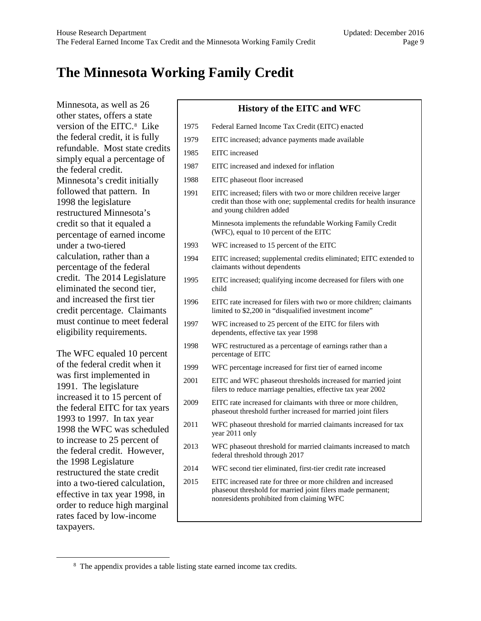# <span id="page-8-0"></span>**The Minnesota Working Family Credit**

Minnesota, as well as 26 other states, offers a state version of the EITC.<sup>[8](#page-8-1)</sup> Like the federal credit, it is fully refundable. Most state credits simply equal a percentage of the federal credit. Minnesota's credit initially followed that pattern. In 1998 the legislature restructured Minnesota's credit so that it equaled a percentage of earned income under a two-tiered calculation, rather than a percentage of the federal credit. The 2014 Legislature eliminated the second tier, and increased the first tier credit percentage. Claimants must continue to meet federal eligibility requirements.

The WFC equaled 10 percent of the federal credit when it was first implemented in 1991. The legislature increased it to 15 percent of the federal EITC for tax years 1993 to 1997. In tax year 1998 the WFC was scheduled to increase to 25 percent of the federal credit. However, the 1998 Legislature restructured the state credit into a two-tiered calculation, effective in tax year 1998, in order to reduce high marginal rates faced by low-income taxpayers.

#### **History of the EITC and WFC**

- 1975 Federal Earned Income Tax Credit (EITC) enacted
- 1979 EITC increased; advance payments made available
- 1985 EITC increased
- 1987 EITC increased and indexed for inflation
- 1988 EITC phaseout floor increased
- 1991 EITC increased; filers with two or more children receive larger credit than those with one; supplemental credits for health insurance and young children added Minnesota implements the refundable Working Family Credit

(WFC), equal to 10 percent of the EITC

- 1993 WFC increased to 15 percent of the EITC
- 1994 EITC increased; supplemental credits eliminated; EITC extended to claimants without dependents
- 1995 EITC increased; qualifying income decreased for filers with one child
- 1996 EITC rate increased for filers with two or more children; claimants limited to \$2,200 in "disqualified investment income"
- 1997 WFC increased to 25 percent of the EITC for filers with dependents, effective tax year 1998
- 1998 WFC restructured as a percentage of earnings rather than a percentage of EITC
- 1999 WFC percentage increased for first tier of earned income
- 2001 EITC and WFC phaseout thresholds increased for married joint filers to reduce marriage penalties, effective tax year 2002
- 2009 EITC rate increased for claimants with three or more children, phaseout threshold further increased for married joint filers
- 2011 WFC phaseout threshold for married claimants increased for tax year 2011 only
- 2013 WFC phaseout threshold for married claimants increased to match federal threshold through 2017
- 2014 WFC second tier eliminated, first-tier credit rate increased
- 2015 EITC increased rate for three or more children and increased phaseout threshold for married joint filers made permanent; nonresidents prohibited from claiming WFC

<span id="page-8-1"></span><sup>&</sup>lt;sup>8</sup> The appendix provides a table listing state earned income tax credits.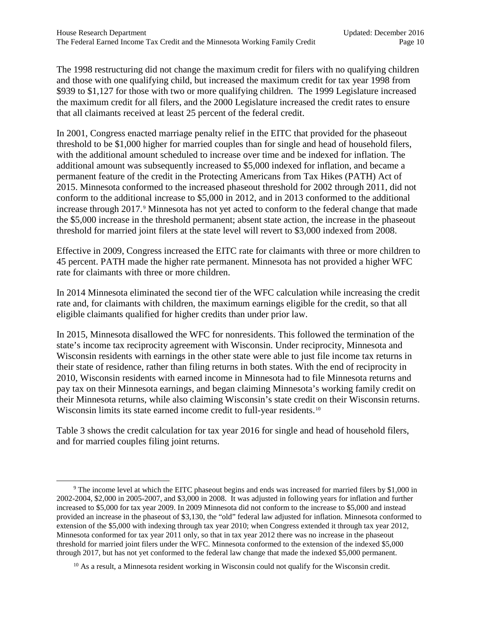The 1998 restructuring did not change the maximum credit for filers with no qualifying children and those with one qualifying child, but increased the maximum credit for tax year 1998 from \$939 to \$1,127 for those with two or more qualifying children. The 1999 Legislature increased the maximum credit for all filers, and the 2000 Legislature increased the credit rates to ensure that all claimants received at least 25 percent of the federal credit.

In 2001, Congress enacted marriage penalty relief in the EITC that provided for the phaseout threshold to be \$1,000 higher for married couples than for single and head of household filers, with the additional amount scheduled to increase over time and be indexed for inflation. The additional amount was subsequently increased to \$5,000 indexed for inflation, and became a permanent feature of the credit in the Protecting Americans from Tax Hikes (PATH) Act of 2015. Minnesota conformed to the increased phaseout threshold for 2002 through 2011, did not conform to the additional increase to \$5,000 in 2012, and in 2013 conformed to the additional increase through 2017.[9](#page-9-0) Minnesota has not yet acted to conform to the federal change that made the \$5,000 increase in the threshold permanent; absent state action, the increase in the phaseout threshold for married joint filers at the state level will revert to \$3,000 indexed from 2008.

Effective in 2009, Congress increased the EITC rate for claimants with three or more children to 45 percent. PATH made the higher rate permanent. Minnesota has not provided a higher WFC rate for claimants with three or more children.

In 2014 Minnesota eliminated the second tier of the WFC calculation while increasing the credit rate and, for claimants with children, the maximum earnings eligible for the credit, so that all eligible claimants qualified for higher credits than under prior law.

In 2015, Minnesota disallowed the WFC for nonresidents. This followed the termination of the state's income tax reciprocity agreement with Wisconsin. Under reciprocity, Minnesota and Wisconsin residents with earnings in the other state were able to just file income tax returns in their state of residence, rather than filing returns in both states. With the end of reciprocity in 2010, Wisconsin residents with earned income in Minnesota had to file Minnesota returns and pay tax on their Minnesota earnings, and began claiming Minnesota's working family credit on their Minnesota returns, while also claiming Wisconsin's state credit on their Wisconsin returns. Wisconsin limits its state earned income credit to full-year residents.<sup>[10](#page-9-1)</sup>

Table 3 shows the credit calculation for tax year 2016 for single and head of household filers, and for married couples filing joint returns.

<span id="page-9-0"></span><sup>&</sup>lt;sup>9</sup> The income level at which the EITC phaseout begins and ends was increased for married filers by \$1,000 in 2002-2004, \$2,000 in 2005-2007, and \$3,000 in 2008. It was adjusted in following years for inflation and further increased to \$5,000 for tax year 2009. In 2009 Minnesota did not conform to the increase to \$5,000 and instead provided an increase in the phaseout of \$3,130, the "old" federal law adjusted for inflation. Minnesota conformed to extension of the \$5,000 with indexing through tax year 2010; when Congress extended it through tax year 2012, Minnesota conformed for tax year 2011 only, so that in tax year 2012 there was no increase in the phaseout threshold for married joint filers under the WFC. Minnesota conformed to the extension of the indexed \$5,000 through 2017, but has not yet conformed to the federal law change that made the indexed \$5,000 permanent.

<span id="page-9-1"></span> $10$  As a result, a Minnesota resident working in Wisconsin could not qualify for the Wisconsin credit.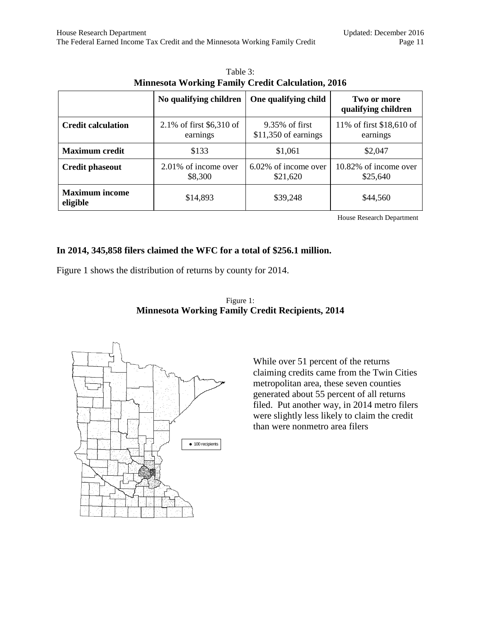<span id="page-10-0"></span>

|                                   | No qualifying children                | One qualifying child                    | Two or more<br>qualifying children   |  |
|-----------------------------------|---------------------------------------|-----------------------------------------|--------------------------------------|--|
| <b>Credit calculation</b>         | 2.1% of first $$6,310$ of<br>earnings | 9.35% of first<br>$$11,350$ of earnings | 11% of first \$18,610 of<br>earnings |  |
| <b>Maximum</b> credit             | \$133                                 | \$1,061                                 | \$2,047                              |  |
| <b>Credit phaseout</b>            | 2.01% of income over<br>\$8,300       | 6.02% of income over<br>\$21,620        | 10.82% of income over<br>\$25,640    |  |
| <b>Maximum income</b><br>eligible | \$14,893                              | \$39,248                                | \$44,560                             |  |

Table 3: **Minnesota Working Family Credit Calculation, 2016**

House Research Department

#### **In 2014, 345,858 filers claimed the WFC for a total of \$256.1 million.**

<span id="page-10-1"></span>Figure 1 shows the distribution of returns by county for 2014.



Figure 1: **Minnesota Working Family Credit Recipients, 2014**

> While over 51 percent of the returns claiming credits came from the Twin Cities metropolitan area, these seven counties generated about 55 percent of all returns filed. Put another way, in 2014 metro filers were slightly less likely to claim the credit than were nonmetro area filers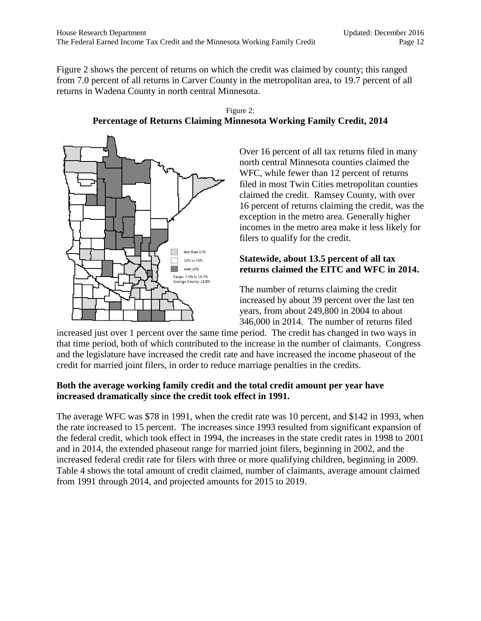Figure 2 shows the percent of returns on which the credit was claimed by county; this ranged from 7.0 percent of all returns in Carver County in the metropolitan area, to 19.7 percent of all returns in Wadena County in north central Minnesota.



<span id="page-11-0"></span>

Over 16 percent of all tax returns filed in many north central Minnesota counties claimed the WFC, while fewer than 12 percent of returns filed in most Twin Cities metropolitan counties claimed the credit. Ramsey County, with over 16 percent of returns claiming the credit, was the exception in the metro area. Generally higher incomes in the metro area make it less likely for filers to qualify for the credit.

#### **Statewide, about 13.5 percent of all tax returns claimed the EITC and WFC in 2014.**

The number of returns claiming the credit increased by about 39 percent over the last ten years, from about 249,800 in 2004 to about 346,000 in 2014. The number of returns filed

increased just over 1 percent over the same time period. The credit has changed in two ways in that time period, both of which contributed to the increase in the number of claimants. Congress and the legislature have increased the credit rate and have increased the income phaseout of the credit for married joint filers, in order to reduce marriage penalties in the credits.

#### **Both the average working family credit and the total credit amount per year have increased dramatically since the credit took effect in 1991.**

The average WFC was \$78 in 1991, when the credit rate was 10 percent, and \$142 in 1993, when the rate increased to 15 percent. The increases since 1993 resulted from significant expansion of the federal credit, which took effect in 1994, the increases in the state credit rates in 1998 to 2001 and in 2014, the extended phaseout range for married joint filers, beginning in 2002, and the increased federal credit rate for filers with three or more qualifying children, beginning in 2009. Table 4 shows the total amount of credit claimed, number of claimants, average amount claimed from 1991 through 2014, and projected amounts for 2015 to 2019.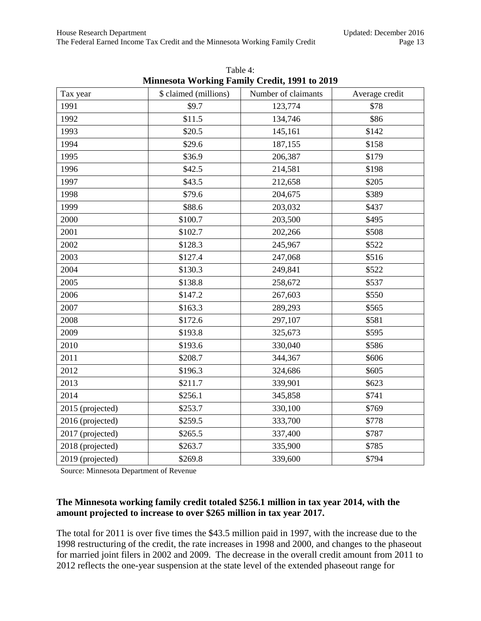<span id="page-12-0"></span>

| Tax year         | \$ claimed (millions) | Number of claimants | Average credit |
|------------------|-----------------------|---------------------|----------------|
| 1991             | \$9.7                 | 123,774             | \$78           |
| 1992             | \$11.5                | 134,746             | \$86           |
| 1993             | \$20.5                | 145,161             | \$142          |
| 1994             | \$29.6                | 187,155             | \$158          |
| 1995             | \$36.9                | 206,387             | \$179          |
| 1996             | \$42.5                | 214,581             | \$198          |
| 1997             | \$43.5                | 212,658             | \$205          |
| 1998             | \$79.6                | 204,675             | \$389          |
| 1999             | \$88.6                | 203,032             | \$437          |
| 2000             | \$100.7               | 203,500             | \$495          |
| 2001             | \$102.7               | 202,266             | \$508          |
| 2002             | \$128.3               | 245,967             | \$522          |
| 2003             | \$127.4               | 247,068             | \$516          |
| 2004             | \$130.3               | 249,841             | \$522          |
| 2005             | \$138.8               | 258,672             | \$537          |
| 2006             | \$147.2               | 267,603             | \$550          |
| 2007             | \$163.3               | 289,293             | \$565          |
| 2008             | \$172.6               | 297,107             | \$581          |
| 2009             | \$193.8               | 325,673             | \$595          |
| 2010             | \$193.6               | 330,040             | \$586          |
| 2011             | \$208.7               | 344,367             | \$606          |
| 2012             | \$196.3               | 324,686             | \$605          |
| 2013             | \$211.7               | 339,901             | \$623          |
| 2014             | \$256.1               | 345,858             | \$741          |
| 2015 (projected) | \$253.7               | 330,100             | \$769          |
| 2016 (projected) | \$259.5               | 333,700             | \$778          |
| 2017 (projected) | \$265.5               | 337,400             | \$787          |
| 2018 (projected) | \$263.7               | 335,900             | \$785          |
| 2019 (projected) | \$269.8               | 339,600             | \$794          |

Table 4: **Minnesota Working Family Credit, 1991 to 2019**

Source: Minnesota Department of Revenue

#### **The Minnesota working family credit totaled \$256.1 million in tax year 2014, with the amount projected to increase to over \$265 million in tax year 2017.**

The total for 2011 is over five times the \$43.5 million paid in 1997, with the increase due to the 1998 restructuring of the credit, the rate increases in 1998 and 2000, and changes to the phaseout for married joint filers in 2002 and 2009. The decrease in the overall credit amount from 2011 to 2012 reflects the one-year suspension at the state level of the extended phaseout range for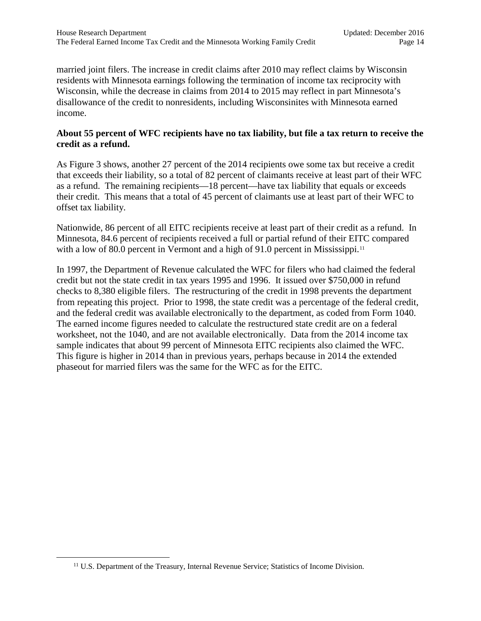married joint filers. The increase in credit claims after 2010 may reflect claims by Wisconsin residents with Minnesota earnings following the termination of income tax reciprocity with Wisconsin, while the decrease in claims from 2014 to 2015 may reflect in part Minnesota's disallowance of the credit to nonresidents, including Wisconsinites with Minnesota earned income.

#### **About 55 percent of WFC recipients have no tax liability, but file a tax return to receive the credit as a refund.**

As Figure 3 shows, another 27 percent of the 2014 recipients owe some tax but receive a credit that exceeds their liability, so a total of 82 percent of claimants receive at least part of their WFC as a refund. The remaining recipients—18 percent—have tax liability that equals or exceeds their credit. This means that a total of 45 percent of claimants use at least part of their WFC to offset tax liability.

Nationwide, 86 percent of all EITC recipients receive at least part of their credit as a refund. In Minnesota, 84.6 percent of recipients received a full or partial refund of their EITC compared with a low of 80.0 percent in Vermont and a high of 91.0 percent in Mississippi.<sup>[11](#page-13-0)</sup>

In 1997, the Department of Revenue calculated the WFC for filers who had claimed the federal credit but not the state credit in tax years 1995 and 1996. It issued over \$750,000 in refund checks to 8,380 eligible filers. The restructuring of the credit in 1998 prevents the department from repeating this project. Prior to 1998, the state credit was a percentage of the federal credit, and the federal credit was available electronically to the department, as coded from Form 1040. The earned income figures needed to calculate the restructured state credit are on a federal worksheet, not the 1040, and are not available electronically. Data from the 2014 income tax sample indicates that about 99 percent of Minnesota EITC recipients also claimed the WFC. This figure is higher in 2014 than in previous years, perhaps because in 2014 the extended phaseout for married filers was the same for the WFC as for the EITC.

<span id="page-13-0"></span><sup>&</sup>lt;sup>11</sup> U.S. Department of the Treasury, Internal Revenue Service; Statistics of Income Division.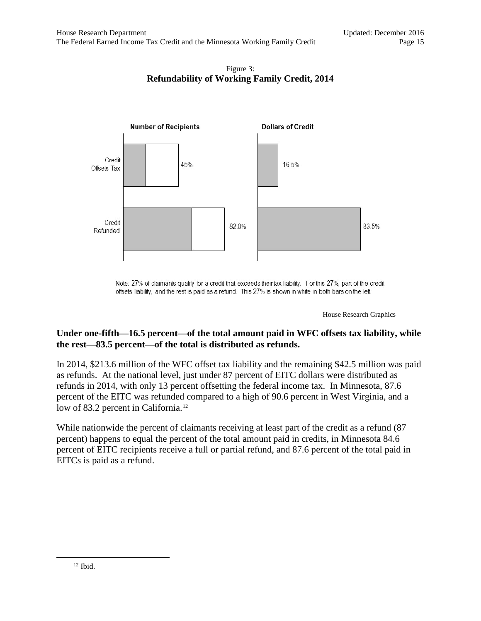#### Figure 3: **Refundability of Working Family Credit, 2014**

<span id="page-14-0"></span>

Note: 27% of claimants qualify for a credit that exceeds their tax liability. For this 27%, part of the credit offsets liability, and the rest is paid as a refund. This 27% is shown in white in both bars on the left.

House Research Graphics

#### **Under one-fifth—16.5 percent—of the total amount paid in WFC offsets tax liability, while the rest—83.5 percent—of the total is distributed as refunds.**

In 2014, \$213.6 million of the WFC offset tax liability and the remaining \$42.5 million was paid as refunds. At the national level, just under 87 percent of EITC dollars were distributed as refunds in 2014, with only 13 percent offsetting the federal income tax. In Minnesota, 87.6 percent of the EITC was refunded compared to a high of 90.6 percent in West Virginia, and a low of 83.2 percent in California.<sup>[12](#page-14-1)</sup>

<span id="page-14-1"></span>While nationwide the percent of claimants receiving at least part of the credit as a refund (87 percent) happens to equal the percent of the total amount paid in credits, in Minnesota 84.6 percent of EITC recipients receive a full or partial refund, and 87.6 percent of the total paid in EITCs is paid as a refund.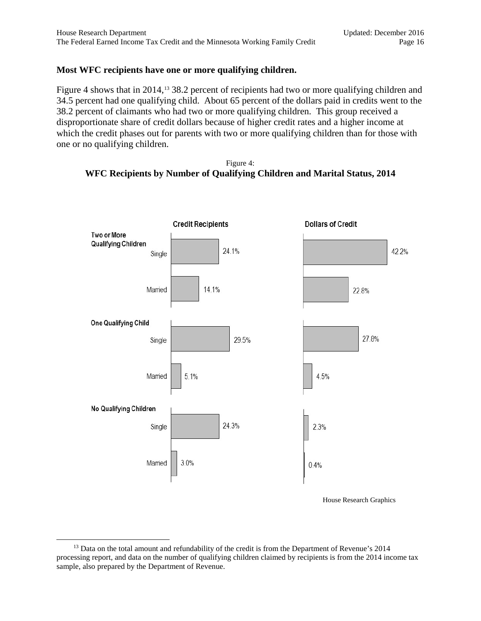#### **Most WFC recipients have one or more qualifying children.**

Figure 4 shows that in 2014,<sup>13</sup> 38.2 percent of recipients had two or more qualifying children and 34.5 percent had one qualifying child. About 65 percent of the dollars paid in credits went to the 38.2 percent of claimants who had two or more qualifying children. This group received a disproportionate share of credit dollars because of higher credit rates and a higher income at which the credit phases out for parents with two or more qualifying children than for those with one or no qualifying children.

<span id="page-15-0"></span>



House Research Graphics

<span id="page-15-1"></span><sup>&</sup>lt;sup>13</sup> Data on the total amount and refundability of the credit is from the Department of Revenue's 2014 processing report, and data on the number of qualifying children claimed by recipients is from the 2014 income tax sample, also prepared by the Department of Revenue.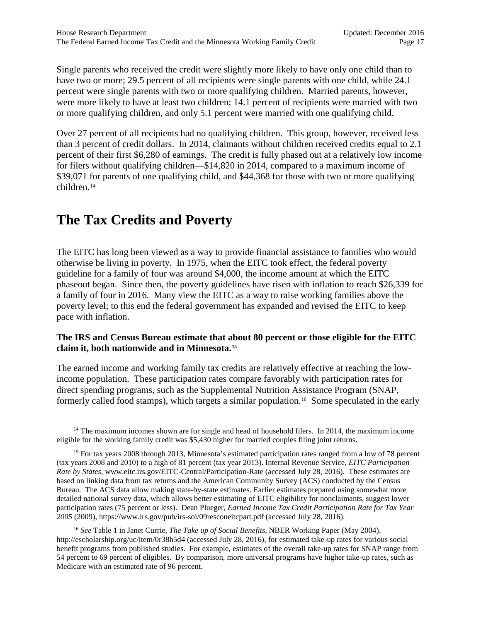Single parents who received the credit were slightly more likely to have only one child than to have two or more; 29.5 percent of all recipients were single parents with one child, while 24.1 percent were single parents with two or more qualifying children. Married parents, however, were more likely to have at least two children; 14.1 percent of recipients were married with two or more qualifying children, and only 5.1 percent were married with one qualifying child.

Over 27 percent of all recipients had no qualifying children. This group, however, received less than 3 percent of credit dollars. In 2014, claimants without children received credits equal to 2.1 percent of their first \$6,280 of earnings. The credit is fully phased out at a relatively low income for filers without qualifying children—\$14,820 in 2014, compared to a maximum income of \$39,071 for parents of one qualifying child, and \$44,368 for those with two or more qualifying children.[14](#page-16-1)

# <span id="page-16-6"></span><span id="page-16-0"></span>**The Tax Credits and Poverty**

The EITC has long been viewed as a way to provide financial assistance to families who would otherwise be living in poverty. In 1975, when the EITC took effect, the federal poverty guideline for a family of four was around \$4,000, the income amount at which the EITC phaseout began. Since then, the poverty guidelines have risen with inflation to reach \$26,339 for a family of four in 2016. Many view the EITC as a way to raise working families above the poverty level; to this end the federal government has expanded and revised the EITC to keep pace with inflation.

#### <span id="page-16-5"></span>**The IRS and Census Bureau estimate that about 80 percent or those eligible for the EITC claim it, both nationwide and in Minnesota. [15](#page-16-2)**

The earned income and working family tax credits are relatively effective at reaching the lowincome population. These participation rates compare favorably with participation rates for direct spending programs, such as the Supplemental Nutrition Assistance Program (SNAP, formerly called food stamps), which targets a similar population.<sup>[16](#page-16-3)</sup> Some speculated in the early

<span id="page-16-3"></span><sup>16</sup> *See* Table 1 in Janet Currie, *The Take up of Social Benefits*, NBER Working Paper (May 2004), http://escholarship.org/uc/item/0r38h5d4 (accessed July 28, 2016), for estimated take-up rates for various social benefit programs from published studies. For example, estimates of the overall take-up rates for SNAP range from 54 percent to 69 percent of eligibles. By comparison, more universal programs have higher take-up rates, such as Medicare with an estimated rate of 96 percent.

<span id="page-16-4"></span><span id="page-16-1"></span> $14$  The maximum incomes shown are for single and head of household filers. In 2014, the maximum income eligible for the working family credit was \$5,430 higher for married couples filing joint returns.

<span id="page-16-2"></span><sup>&</sup>lt;sup>15</sup> For tax years 2008 through 2013, Minnesota's estimated participation rates ranged from a low of 78 percent (tax years 2008 and 2010) to a high of 81 percent (tax year 2013). Internal Revenue Service, *EITC Participation Rate by States*, www.eitc.irs.gov/EITC-Central/Participation-Rate (accessed July 28, 2016). These estimates are based on linking data from tax returns and the American Community Survey (ACS) conducted by the Census Bureau. The ACS data allow making state-by-state estimates. Earlier estimates prepared using somewhat more detailed national survey data, which allows better estimating of EITC eligibility for nonclaimants, suggest lower participation rates (75 percent or less). Dean Plueger, *Earned Income Tax Credit Participation Rate for Tax Year 2005* (2009), https://www.irs.gov/pub/irs-soi/09resconeitcpart.pdf (accessed July 28, 2016).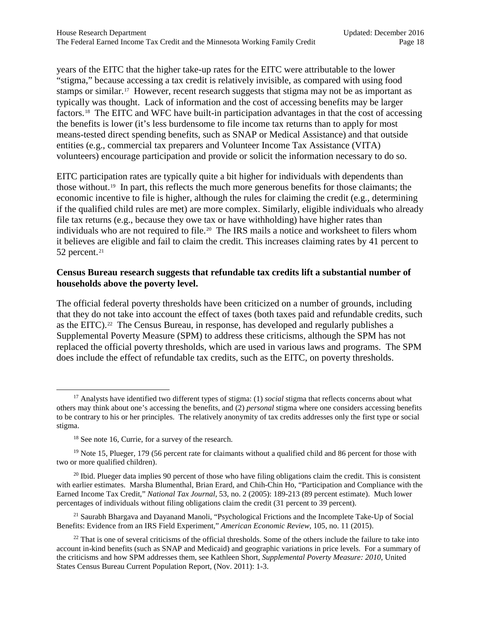years of the EITC that the higher take-up rates for the EITC were attributable to the lower "stigma," because accessing a tax credit is relatively invisible, as compared with using food stamps or similar.[17](#page-17-0) However, recent research suggests that stigma may not be as important as typically was thought. Lack of information and the cost of accessing benefits may be larger factors.[18](#page-17-1) The EITC and WFC have built-in participation advantages in that the cost of accessing the benefits is lower (it's less burdensome to file income tax returns than to apply for most means-tested direct spending benefits, such as SNAP or Medical Assistance) and that outside entities (e.g., commercial tax preparers and Volunteer Income Tax Assistance (VITA) volunteers) encourage participation and provide or solicit the information necessary to do so.

EITC participation rates are typically quite a bit higher for individuals with dependents than those without.[19](#page-17-2) In part, this reflects the much more generous benefits for those claimants; the economic incentive to file is higher, although the rules for claiming the credit (e.g., determining if the qualified child rules are met) are more complex. Similarly, eligible individuals who already file tax returns (e.g., because they owe tax or have withholding) have higher rates than individuals who are not required to file.<sup>[20](#page-17-3)</sup> The IRS mails a notice and worksheet to filers whom it believes are eligible and fail to claim the credit. This increases claiming rates by 41 percent to 52 percent.<sup>[21](#page-17-4)</sup>

#### **Census Bureau research suggests that refundable tax credits lift a substantial number of households above the poverty level.**

The official federal poverty thresholds have been criticized on a number of grounds, including that they do not take into account the effect of taxes (both taxes paid and refundable credits, such as the EITC).[22](#page-17-5) The Census Bureau, in response, has developed and regularly publishes a Supplemental Poverty Measure (SPM) to address these criticisms, although the SPM has not replaced the official poverty thresholds, which are used in various laws and programs. The SPM does include the effect of refundable tax credits, such as the EITC, on poverty thresholds.

<span id="page-17-4"></span><sup>21</sup> Saurabh Bhargava and Dayanand Manoli, "Psychological Frictions and the Incomplete Take-Up of Social Benefits: Evidence from an IRS Field Experiment," *American Economic Review*, 105, no. 11 (2015).

<span id="page-17-0"></span><sup>17</sup> Analysts have identified two different types of stigma: (1) *social* stigma that reflects concerns about what others may think about one's accessing the benefits, and (2) *personal* stigma where one considers accessing benefits to be contrary to his or her principles. The relatively anonymity of tax credits addresses only the first type or social stigma.

<sup>&</sup>lt;sup>18</sup> See note [16,](#page-16-4) Currie, for a survey of the research.

<span id="page-17-2"></span><span id="page-17-1"></span> $19$  Not[e 15,](#page-16-5) Plueger, 179 (56 percent rate for claimants without a qualified child and 86 percent for those with two or more qualified children).

<span id="page-17-3"></span><sup>&</sup>lt;sup>20</sup> Ibid. Plueger data implies 90 percent of those who have filing obligations claim the credit. This is consistent with earlier estimates. Marsha Blumenthal, Brian Erard, and Chih-Chin Ho, "Participation and Compliance with the Earned Income Tax Credit," *National Tax Journal*, 53, no. 2 (2005): 189-213 (89 percent estimate). Much lower percentages of individuals without filing obligations claim the credit (31 percent to 39 percent).

<span id="page-17-5"></span> $22$  That is one of several criticisms of the official thresholds. Some of the others include the failure to take into account in-kind benefits (such as SNAP and Medicaid) and geographic variations in price levels. For a summary of the criticisms and how SPM addresses them, see Kathleen Short, *Supplemental Poverty Measure: 2010*, United States Census Bureau Current Population Report, (Nov. 2011): 1-3.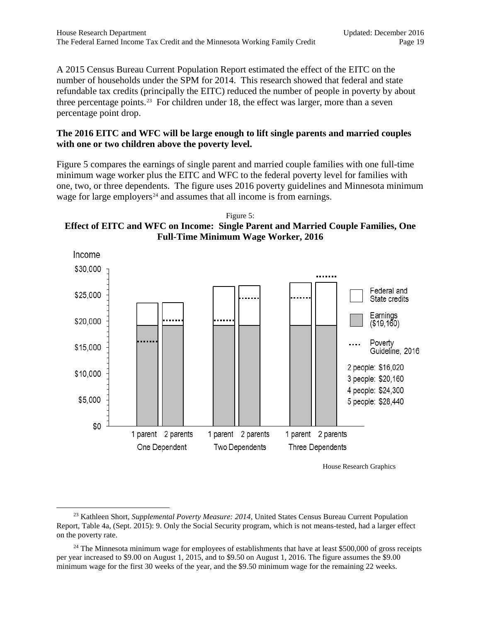A 2015 Census Bureau Current Population Report estimated the effect of the EITC on the number of households under the SPM for 2014. This research showed that federal and state refundable tax credits (principally the EITC) reduced the number of people in poverty by about three percentage points.<sup>[23](#page-18-1)</sup> For children under 18, the effect was larger, more than a seven percentage point drop.

#### **The 2016 EITC and WFC will be large enough to lift single parents and married couples with one or two children above the poverty level.**

Figure 5 compares the earnings of single parent and married couple families with one full-time minimum wage worker plus the EITC and WFC to the federal poverty level for families with one, two, or three dependents. The figure uses 2016 poverty guidelines and Minnesota minimum wage for large employers<sup> $24$ </sup> and assumes that all income is from earnings.

<span id="page-18-0"></span>Figure 5: **Effect of EITC and WFC on Income: Single Parent and Married Couple Families, One Full-Time Minimum Wage Worker, 2016**



House Research Graphics

<span id="page-18-1"></span><sup>23</sup> Kathleen Short, *Supplemental Poverty Measure: 2014*, United States Census Bureau Current Population Report, Table 4a, (Sept. 2015): 9. Only the Social Security program, which is not means-tested, had a larger effect on the poverty rate.

<span id="page-18-2"></span> $24$  The Minnesota minimum wage for employees of establishments that have at least \$500,000 of gross receipts per year increased to \$9.00 on August 1, 2015, and to \$9.50 on August 1, 2016. The figure assumes the \$9.00 minimum wage for the first 30 weeks of the year, and the \$9.50 minimum wage for the remaining 22 weeks.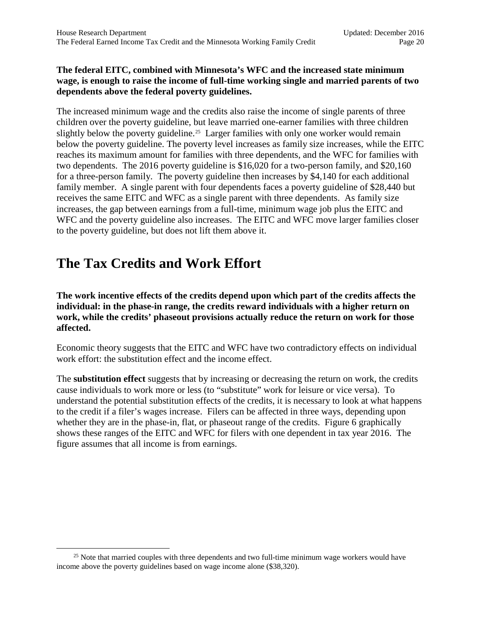#### **The federal EITC, combined with Minnesota's WFC and the increased state minimum wage, is enough to raise the income of full-time working single and married parents of two dependents above the federal poverty guidelines.**

The increased minimum wage and the credits also raise the income of single parents of three children over the poverty guideline, but leave married one-earner families with three children slightly below the poverty guideline.<sup>[25](#page-19-1)</sup> Larger families with only one worker would remain below the poverty guideline. The poverty level increases as family size increases, while the EITC reaches its maximum amount for families with three dependents, and the WFC for families with two dependents. The 2016 poverty guideline is \$16,020 for a two-person family, and \$20,160 for a three-person family. The poverty guideline then increases by \$4,140 for each additional family member. A single parent with four dependents faces a poverty guideline of \$28,440 but receives the same EITC and WFC as a single parent with three dependents. As family size increases, the gap between earnings from a full-time, minimum wage job plus the EITC and WFC and the poverty guideline also increases. The EITC and WFC move larger families closer to the poverty guideline, but does not lift them above it.

# <span id="page-19-0"></span>**The Tax Credits and Work Effort**

**The work incentive effects of the credits depend upon which part of the credits affects the individual: in the phase-in range, the credits reward individuals with a higher return on work, while the credits' phaseout provisions actually reduce the return on work for those affected.**

Economic theory suggests that the EITC and WFC have two contradictory effects on individual work effort: the substitution effect and the income effect.

The **substitution effect** suggests that by increasing or decreasing the return on work, the credits cause individuals to work more or less (to "substitute" work for leisure or vice versa). To understand the potential substitution effects of the credits, it is necessary to look at what happens to the credit if a filer's wages increase. Filers can be affected in three ways, depending upon whether they are in the phase-in, flat, or phaseout range of the credits. Figure 6 graphically shows these ranges of the EITC and WFC for filers with one dependent in tax year 2016. The figure assumes that all income is from earnings.

<span id="page-19-1"></span> $25$  Note that married couples with three dependents and two full-time minimum wage workers would have income above the poverty guidelines based on wage income alone (\$38,320).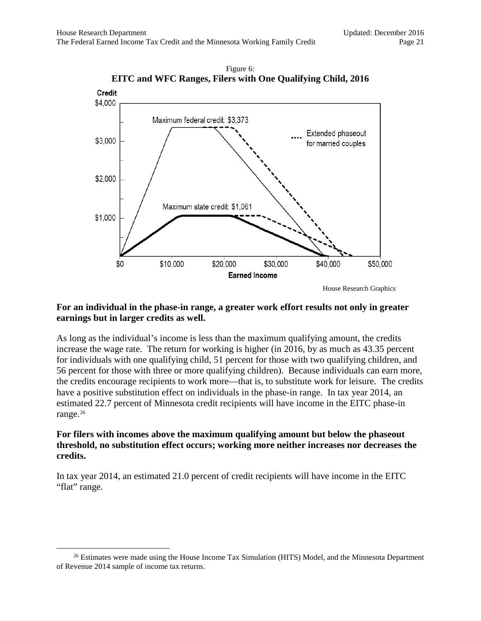<span id="page-20-0"></span>



#### **For an individual in the phase-in range, a greater work effort results not only in greater earnings but in larger credits as well.**

As long as the individual's income is less than the maximum qualifying amount, the credits increase the wage rate. The return for working is higher (in 2016, by as much as 43.35 percent for individuals with one qualifying child, 51 percent for those with two qualifying children, and 56 percent for those with three or more qualifying children). Because individuals can earn more, the credits encourage recipients to work more—that is, to substitute work for leisure. The credits have a positive substitution effect on individuals in the phase-in range. In tax year 2014, an estimated 22.7 percent of Minnesota credit recipients will have income in the EITC phase-in range.<sup>[26](#page-20-1)</sup>

#### **For filers with incomes above the maximum qualifying amount but below the phaseout threshold, no substitution effect occurs; working more neither increases nor decreases the credits.**

In tax year 2014, an estimated 21.0 percent of credit recipients will have income in the EITC "flat" range.

<span id="page-20-1"></span> $26$  Estimates were made using the House Income Tax Simulation (HITS) Model, and the Minnesota Department of Revenue 2014 sample of income tax returns.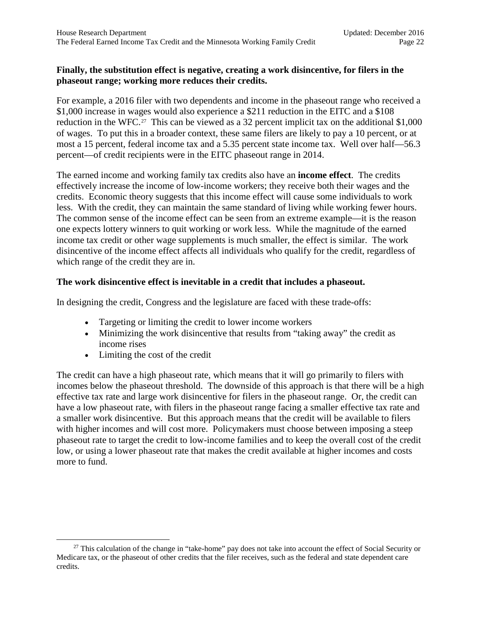#### **Finally, the substitution effect is negative, creating a work disincentive, for filers in the phaseout range; working more reduces their credits.**

For example, a 2016 filer with two dependents and income in the phaseout range who received a \$1,000 increase in wages would also experience a \$211 reduction in the EITC and a \$108 reduction in the WFC.<sup>[27](#page-21-0)</sup> This can be viewed as a 32 percent implicit tax on the additional \$1,000 of wages. To put this in a broader context, these same filers are likely to pay a 10 percent, or at most a 15 percent, federal income tax and a 5.35 percent state income tax. Well over half—56.3 percent—of credit recipients were in the EITC phaseout range in 2014.

The earned income and working family tax credits also have an **income effect**. The credits effectively increase the income of low-income workers; they receive both their wages and the credits. Economic theory suggests that this income effect will cause some individuals to work less. With the credit, they can maintain the same standard of living while working fewer hours. The common sense of the income effect can be seen from an extreme example—it is the reason one expects lottery winners to quit working or work less. While the magnitude of the earned income tax credit or other wage supplements is much smaller, the effect is similar. The work disincentive of the income effect affects all individuals who qualify for the credit, regardless of which range of the credit they are in.

#### **The work disincentive effect is inevitable in a credit that includes a phaseout.**

In designing the credit, Congress and the legislature are faced with these trade-offs:

- Targeting or limiting the credit to lower income workers
- Minimizing the work disincentive that results from "taking away" the credit as income rises
- Limiting the cost of the credit

The credit can have a high phaseout rate, which means that it will go primarily to filers with incomes below the phaseout threshold. The downside of this approach is that there will be a high effective tax rate and large work disincentive for filers in the phaseout range. Or, the credit can have a low phaseout rate, with filers in the phaseout range facing a smaller effective tax rate and a smaller work disincentive. But this approach means that the credit will be available to filers with higher incomes and will cost more. Policymakers must choose between imposing a steep phaseout rate to target the credit to low-income families and to keep the overall cost of the credit low, or using a lower phaseout rate that makes the credit available at higher incomes and costs more to fund.

<span id="page-21-0"></span> $27$  This calculation of the change in "take-home" pay does not take into account the effect of Social Security or Medicare tax, or the phaseout of other credits that the filer receives, such as the federal and state dependent care credits.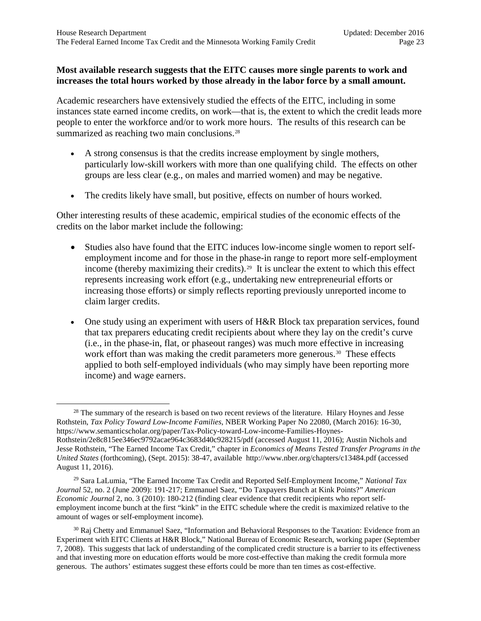#### **Most available research suggests that the EITC causes more single parents to work and increases the total hours worked by those already in the labor force by a small amount.**

<span id="page-22-3"></span>Academic researchers have extensively studied the effects of the EITC, including in some instances state earned income credits, on work—that is, the extent to which the credit leads more people to enter the workforce and/or to work more hours. The results of this research can be summarized as reaching two main conclusions.<sup>[28](#page-22-0)</sup>

- A strong consensus is that the credits increase employment by single mothers, particularly low-skill workers with more than one qualifying child. The effects on other groups are less clear (e.g., on males and married women) and may be negative.
- The credits likely have small, but positive, effects on number of hours worked.

Other interesting results of these academic, empirical studies of the economic effects of the credits on the labor market include the following:

- Studies also have found that the EITC induces low-income single women to report selfemployment income and for those in the phase-in range to report more self-employment income (thereby maximizing their credits).<sup>29</sup> It is unclear the extent to which this effect represents increasing work effort (e.g., undertaking new entrepreneurial efforts or increasing those efforts) or simply reflects reporting previously unreported income to claim larger credits.
- One study using an experiment with users of H&R Block tax preparation services, found that tax preparers educating credit recipients about where they lay on the credit's curve (i.e., in the phase-in, flat, or phaseout ranges) was much more effective in increasing work effort than was making the credit parameters more generous.<sup>[30](#page-22-2)</sup> These effects applied to both self-employed individuals (who may simply have been reporting more income) and wage earners.

<span id="page-22-0"></span><sup>&</sup>lt;sup>28</sup> The summary of the research is based on two recent reviews of the literature. Hilary Hoynes and Jesse Rothstein, *Tax Policy Toward Low-Income Families*, NBER Working Paper No 22080, (March 2016): 16-30, https://www.semanticscholar.org/paper/Tax-Policy-toward-Low-income-Families-Hoynes-Rothstein/2e8c815ee346ec9792acae964c3683d40c928215/pdf (accessed August 11, 2016); Austin Nichols and Jesse Rothstein, "The Earned Income Tax Credit," chapter in *Economics of Means Tested Transfer Programs in the United States* (forthcoming)*,* (Sept. 2015): 38-47, available http://www.nber.org/chapters/c13484.pdf (accessed August 11, 2016).

<span id="page-22-1"></span><sup>29</sup> Sara LaLumia, "The Earned Income Tax Credit and Reported Self-Employment Income," *National Tax Journal* 52, no. 2 (June 2009): 191-217; Emmanuel Saez, "Do Taxpayers Bunch at Kink Points?" *American Economic Journal* 2, no. 3 (2010): 180-212 (finding clear evidence that credit recipients who report selfemployment income bunch at the first "kink" in the EITC schedule where the credit is maximized relative to the amount of wages or self-employment income).

<span id="page-22-2"></span><sup>&</sup>lt;sup>30</sup> Raj Chetty and Emmanuel Saez, "Information and Behavioral Responses to the Taxation: Evidence from an Experiment with EITC Clients at H&R Block," National Bureau of Economic Research, working paper (September 7, 2008). This suggests that lack of understanding of the complicated credit structure is a barrier to its effectiveness and that investing more on education efforts would be more cost-effective than making the credit formula more generous. The authors' estimates suggest these efforts could be more than ten times as cost-effective.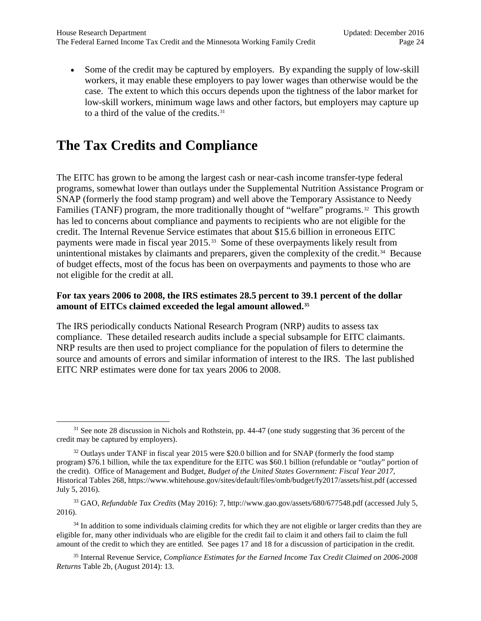• Some of the credit may be captured by employers. By expanding the supply of low-skill workers, it may enable these employers to pay lower wages than otherwise would be the case. The extent to which this occurs depends upon the tightness of the labor market for low-skill workers, minimum wage laws and other factors, but employers may capture up to a third of the value of the credits. $31$ 

# <span id="page-23-0"></span>**The Tax Credits and Compliance**

The EITC has grown to be among the largest cash or near-cash income transfer-type federal programs, somewhat lower than outlays under the Supplemental Nutrition Assistance Program or SNAP (formerly the food stamp program) and well above the Temporary Assistance to Needy Families (TANF) program, the more traditionally thought of "welfare" programs.[32](#page-23-2) This growth has led to concerns about compliance and payments to recipients who are not eligible for the credit. The Internal Revenue Service estimates that about \$15.6 billion in erroneous EITC payments were made in fiscal year 2015.[33](#page-23-3) Some of these overpayments likely result from unintentional mistakes by claimants and preparers, given the complexity of the credit.<sup>34</sup> Because of budget effects, most of the focus has been on overpayments and payments to those who are not eligible for the credit at all.

#### **For tax years 2006 to 2008, the IRS estimates 28.5 percent to 39.1 percent of the dollar amount of EITCs claimed exceeded the legal amount allowed.[35](#page-23-5)**

The IRS periodically conducts National Research Program (NRP) audits to assess tax compliance. These detailed research audits include a special subsample for EITC claimants. NRP results are then used to project compliance for the population of filers to determine the source and amounts of errors and similar information of interest to the IRS. The last published EITC NRP estimates were done for tax years 2006 to 2008.

<span id="page-23-1"></span><sup>&</sup>lt;sup>31</sup> See note [28](#page-22-3) discussion in Nichols and Rothstein, pp. 44-47 (one study suggesting that 36 percent of the credit may be captured by employers).

<span id="page-23-2"></span><sup>&</sup>lt;sup>32</sup> Outlays under TANF in fiscal year 2015 were \$20.0 billion and for SNAP (formerly the food stamp program) \$76.1 billion, while the tax expenditure for the EITC was \$60.1 billion (refundable or "outlay" portion of the credit). Office of Management and Budget, *Budget of the United States Government: Fiscal Year 2017*, Historical Tables 268, https://www.whitehouse.gov/sites/default/files/omb/budget/fy2017/assets/hist.pdf (accessed July 5, 2016).

<span id="page-23-3"></span><sup>33</sup> GAO, *Refundable Tax Credits* (May 2016): 7, http://www.gao.gov/assets/680/677548.pdf (accessed July 5, 2016).

<span id="page-23-4"></span><sup>&</sup>lt;sup>34</sup> In addition to some individuals claiming credits for which they are not eligible or larger credits than they are eligible for, many other individuals who are eligible for the credit fail to claim it and others fail to claim the full amount of the credit to which they are entitled. See page[s 17](#page-16-6) and 18 for a discussion of participation in the credit.

<span id="page-23-5"></span><sup>35</sup> Internal Revenue Service, *Compliance Estimates for the Earned Income Tax Credit Claimed on 2006-2008 Returns* Table 2b, (August 2014): 13.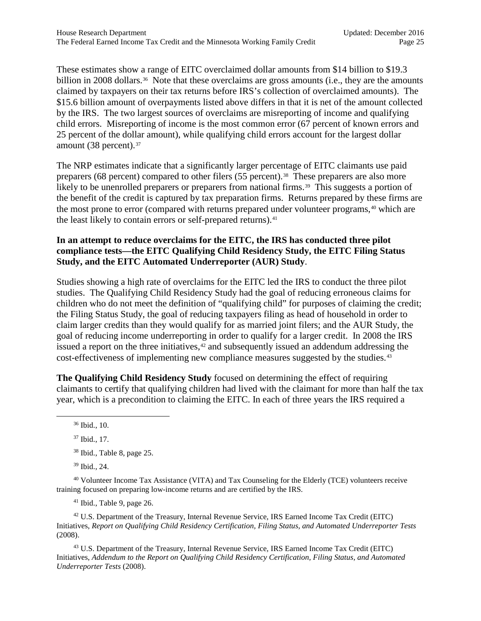These estimates show a range of EITC overclaimed dollar amounts from \$14 billion to \$19.3 billion in 2008 dollars.<sup>[36](#page-24-0)</sup> Note that these overclaims are gross amounts (i.e., they are the amounts claimed by taxpayers on their tax returns before IRS's collection of overclaimed amounts). The \$15.6 billion amount of overpayments listed above differs in that it is net of the amount collected by the IRS. The two largest sources of overclaims are misreporting of income and qualifying child errors. Misreporting of income is the most common error (67 percent of known errors and 25 percent of the dollar amount), while qualifying child errors account for the largest dollar amount (38 percent).<sup>[37](#page-24-1)</sup>

The NRP estimates indicate that a significantly larger percentage of EITC claimants use paid preparers (68 percent) compared to other filers (55 percent).<sup>[38](#page-24-2)</sup> These preparers are also more likely to be unenrolled preparers or preparers from national firms.<sup>39</sup> This suggests a portion of the benefit of the credit is captured by tax preparation firms. Returns prepared by these firms are the most prone to error (compared with returns prepared under volunteer programs,<sup>[40](#page-24-4)</sup> which are the least likely to contain errors or self-prepared returns).<sup>[41](#page-24-5)</sup>

#### **In an attempt to reduce overclaims for the EITC, the IRS has conducted three pilot compliance tests—the EITC Qualifying Child Residency Study, the EITC Filing Status Study, and the EITC Automated Underreporter (AUR) Study**.

Studies showing a high rate of overclaims for the EITC led the IRS to conduct the three pilot studies. The Qualifying Child Residency Study had the goal of reducing erroneous claims for children who do not meet the definition of "qualifying child" for purposes of claiming the credit; the Filing Status Study, the goal of reducing taxpayers filing as head of household in order to claim larger credits than they would qualify for as married joint filers; and the AUR Study, the goal of reducing income underreporting in order to qualify for a larger credit. In 2008 the IRS issued a report on the three initiatives, $42$  and subsequently issued an addendum addressing the cost-effectiveness of implementing new compliance measures suggested by the studies.[43](#page-24-7)

**The Qualifying Child Residency Study** focused on determining the effect of requiring claimants to certify that qualifying children had lived with the claimant for more than half the tax year, which is a precondition to claiming the EITC. In each of three years the IRS required a

<sup>39</sup> Ibid., 24.

<span id="page-24-4"></span><span id="page-24-3"></span><span id="page-24-2"></span><span id="page-24-1"></span><sup>40</sup> Volunteer Income Tax Assistance (VITA) and Tax Counseling for the Elderly (TCE) volunteers receive training focused on preparing low-income returns and are certified by the IRS.

<sup>41</sup> Ibid., Table 9, page 26.

<span id="page-24-6"></span><span id="page-24-5"></span><sup>42</sup> U.S. Department of the Treasury, Internal Revenue Service, IRS Earned Income Tax Credit (EITC) Initiatives, *Report on Qualifying Child Residency Certification, Filing Status, and Automated Underreporter Tests* (2008).

<span id="page-24-7"></span><sup>43</sup> U.S. Department of the Treasury, Internal Revenue Service, IRS Earned Income Tax Credit (EITC) Initiatives, *Addendum to the Report on Qualifying Child Residency Certification, Filing Status, and Automated Underreporter Tests* (2008).

<span id="page-24-0"></span><sup>36</sup> Ibid., 10.

<sup>37</sup> Ibid., 17.

<sup>38</sup> Ibid., Table 8, page 25.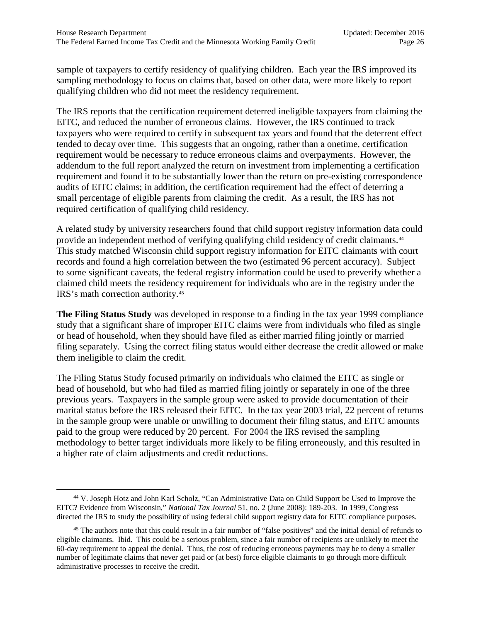sample of taxpayers to certify residency of qualifying children. Each year the IRS improved its sampling methodology to focus on claims that, based on other data, were more likely to report qualifying children who did not meet the residency requirement.

The IRS reports that the certification requirement deterred ineligible taxpayers from claiming the EITC, and reduced the number of erroneous claims. However, the IRS continued to track taxpayers who were required to certify in subsequent tax years and found that the deterrent effect tended to decay over time. This suggests that an ongoing, rather than a onetime, certification requirement would be necessary to reduce erroneous claims and overpayments. However, the addendum to the full report analyzed the return on investment from implementing a certification requirement and found it to be substantially lower than the return on pre-existing correspondence audits of EITC claims; in addition, the certification requirement had the effect of deterring a small percentage of eligible parents from claiming the credit. As a result, the IRS has not required certification of qualifying child residency.

A related study by university researchers found that child support registry information data could provide an independent method of verifying qualifying child residency of credit claimants.<sup>[44](#page-25-0)</sup> This study matched Wisconsin child support registry information for EITC claimants with court records and found a high correlation between the two (estimated 96 percent accuracy). Subject to some significant caveats, the federal registry information could be used to preverify whether a claimed child meets the residency requirement for individuals who are in the registry under the IRS's math correction authority.[45](#page-25-1)

**The Filing Status Study** was developed in response to a finding in the tax year 1999 compliance study that a significant share of improper EITC claims were from individuals who filed as single or head of household, when they should have filed as either married filing jointly or married filing separately. Using the correct filing status would either decrease the credit allowed or make them ineligible to claim the credit.

The Filing Status Study focused primarily on individuals who claimed the EITC as single or head of household, but who had filed as married filing jointly or separately in one of the three previous years. Taxpayers in the sample group were asked to provide documentation of their marital status before the IRS released their EITC. In the tax year 2003 trial, 22 percent of returns in the sample group were unable or unwilling to document their filing status, and EITC amounts paid to the group were reduced by 20 percent. For 2004 the IRS revised the sampling methodology to better target individuals more likely to be filing erroneously, and this resulted in a higher rate of claim adjustments and credit reductions.

<span id="page-25-0"></span><sup>44</sup> V. Joseph Hotz and John Karl Scholz, "Can Administrative Data on Child Support be Used to Improve the EITC? Evidence from Wisconsin," *National Tax Journal* 51, no. 2 (June 2008): 189-203. In 1999, Congress directed the IRS to study the possibility of using federal child support registry data for EITC compliance purposes.

<span id="page-25-1"></span><sup>&</sup>lt;sup>45</sup> The authors note that this could result in a fair number of "false positives" and the initial denial of refunds to eligible claimants. Ibid. This could be a serious problem, since a fair number of recipients are unlikely to meet the 60-day requirement to appeal the denial. Thus, the cost of reducing erroneous payments may be to deny a smaller number of legitimate claims that never get paid or (at best) force eligible claimants to go through more difficult administrative processes to receive the credit.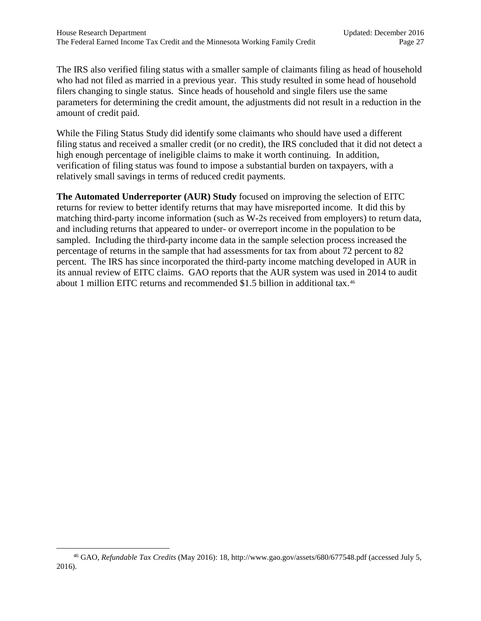The IRS also verified filing status with a smaller sample of claimants filing as head of household who had not filed as married in a previous year. This study resulted in some head of household filers changing to single status. Since heads of household and single filers use the same parameters for determining the credit amount, the adjustments did not result in a reduction in the amount of credit paid.

While the Filing Status Study did identify some claimants who should have used a different filing status and received a smaller credit (or no credit), the IRS concluded that it did not detect a high enough percentage of ineligible claims to make it worth continuing. In addition, verification of filing status was found to impose a substantial burden on taxpayers, with a relatively small savings in terms of reduced credit payments.

**The Automated Underreporter (AUR) Study** focused on improving the selection of EITC returns for review to better identify returns that may have misreported income. It did this by matching third-party income information (such as W-2s received from employers) to return data, and including returns that appeared to under- or overreport income in the population to be sampled. Including the third-party income data in the sample selection process increased the percentage of returns in the sample that had assessments for tax from about 72 percent to 82 percent. The IRS has since incorporated the third-party income matching developed in AUR in its annual review of EITC claims. GAO reports that the AUR system was used in 2014 to audit about 1 million EITC returns and recommended \$1.5 billion in additional tax.[46](#page-26-0)

<span id="page-26-0"></span><sup>46</sup> GAO, *Refundable Tax Credits* (May 2016): 18, http://www.gao.gov/assets/680/677548.pdf (accessed July 5, 2016).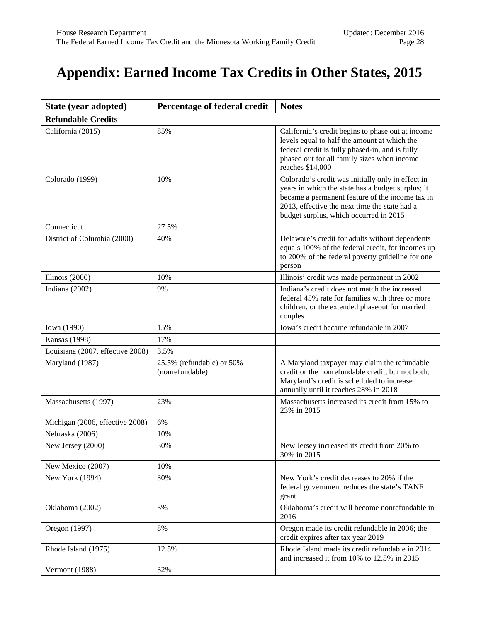# <span id="page-27-0"></span>**Appendix: Earned Income Tax Credits in Other States, 2015**

| State (year adopted)             | Percentage of federal credit                 | <b>Notes</b>                                                                                                                                                                                                                                         |  |  |
|----------------------------------|----------------------------------------------|------------------------------------------------------------------------------------------------------------------------------------------------------------------------------------------------------------------------------------------------------|--|--|
| <b>Refundable Credits</b>        |                                              |                                                                                                                                                                                                                                                      |  |  |
| California (2015)                | 85%                                          | California's credit begins to phase out at income<br>levels equal to half the amount at which the<br>federal credit is fully phased-in, and is fully<br>phased out for all family sizes when income<br>reaches \$14,000                              |  |  |
| Colorado (1999)                  | 10%                                          | Colorado's credit was initially only in effect in<br>years in which the state has a budget surplus; it<br>became a permanent feature of the income tax in<br>2013, effective the next time the state had a<br>budget surplus, which occurred in 2015 |  |  |
| Connecticut                      | 27.5%                                        |                                                                                                                                                                                                                                                      |  |  |
| District of Columbia (2000)      | 40%                                          | Delaware's credit for adults without dependents<br>equals 100% of the federal credit, for incomes up<br>to 200% of the federal poverty guideline for one<br>person                                                                                   |  |  |
| Illinois (2000)                  | 10%                                          | Illinois' credit was made permanent in 2002                                                                                                                                                                                                          |  |  |
| Indiana (2002)                   | 9%                                           | Indiana's credit does not match the increased<br>federal 45% rate for families with three or more<br>children, or the extended phaseout for married<br>couples                                                                                       |  |  |
| Iowa (1990)                      | 15%                                          | Iowa's credit became refundable in 2007                                                                                                                                                                                                              |  |  |
| <b>Kansas</b> (1998)             | 17%                                          |                                                                                                                                                                                                                                                      |  |  |
| Louisiana (2007, effective 2008) | 3.5%                                         |                                                                                                                                                                                                                                                      |  |  |
| Maryland (1987)                  | 25.5% (refundable) or 50%<br>(nonrefundable) | A Maryland taxpayer may claim the refundable<br>credit or the nonrefundable credit, but not both;<br>Maryland's credit is scheduled to increase<br>annually until it reaches 28% in 2018                                                             |  |  |
| Massachusetts (1997)             | 23%                                          | Massachusetts increased its credit from 15% to<br>23% in 2015                                                                                                                                                                                        |  |  |
| Michigan (2006, effective 2008)  | 6%                                           |                                                                                                                                                                                                                                                      |  |  |
| Nebraska (2006)                  | 10%                                          |                                                                                                                                                                                                                                                      |  |  |
| New Jersey (2000)                | 30%                                          | New Jersey increased its credit from 20% to<br>30% in 2015                                                                                                                                                                                           |  |  |
| New Mexico (2007)                | 10%                                          |                                                                                                                                                                                                                                                      |  |  |
| New York (1994)                  | 30%                                          | New York's credit decreases to 20% if the<br>federal government reduces the state's TANF<br>grant                                                                                                                                                    |  |  |
| Oklahoma (2002)                  | 5%                                           | Oklahoma's credit will become nonrefundable in<br>2016                                                                                                                                                                                               |  |  |
| Oregon (1997)                    | 8%                                           | Oregon made its credit refundable in 2006; the<br>credit expires after tax year 2019                                                                                                                                                                 |  |  |
| Rhode Island (1975)              | 12.5%                                        | Rhode Island made its credit refundable in 2014<br>and increased it from 10% to 12.5% in 2015                                                                                                                                                        |  |  |
| Vermont (1988)                   | 32%                                          |                                                                                                                                                                                                                                                      |  |  |